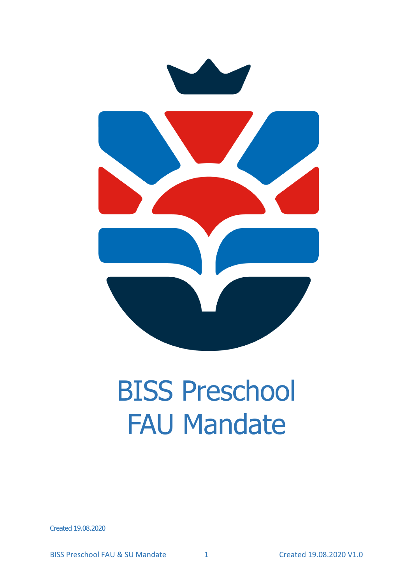

# BISS Preschool FAU Mandate

Created 19.08.2020

BISS Preschool FAU & SU Mandate 1 Created 19.08.2020 V1.0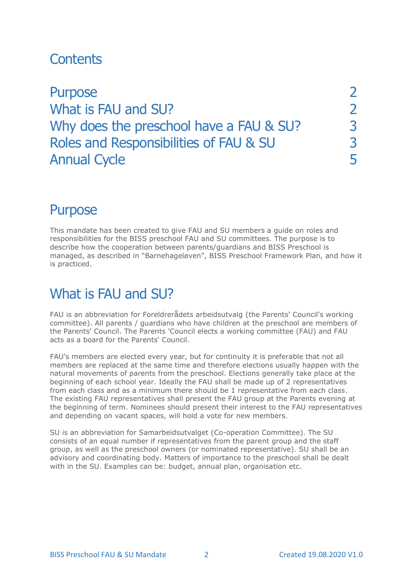#### **Contents**

Purpose 2012 2013 2022 2023 2024 2025 2026 2027 2028 2029 2026 2027 2028 2029 2027 2028 2027 2028 2027 2028 20 What is FAU and SU?<br>
Why does the preschool have a FAU & SU?<br>
Roles and Responsibilities of FAU & SU<br>
Annual Cycle<br>
5 Why does the preschool have a FAU & SU? Roles and Responsibilities of FAU & SU Annual Cycle 5

#### **Purpose**

This mandate has been created to give FAU and SU members a guide on roles and responsibilities for the BISS preschool FAU and SU committees. The purpose is to describe how the cooperation between parents/guardians and BISS Preschool is managed, as described in "Barnehageløven", BISS Preschool Framework Plan, and how it is practiced.

#### What is FAU and SU?

FAU is an abbreviation for Foreldrerådets arbeidsutvalg (the Parents' Council's working committee). All parents / guardians who have children at the preschool are members of the Parents' Council. The Parents 'Council elects a working committee (FAU) and FAU acts as a board for the Parents' Council.

FAU's members are elected every year, but for continuity it is preferable that not all members are replaced at the same time and therefore elections usually happen with the natural movements of parents from the preschool. Elections generally take place at the beginning of each school year. Ideally the FAU shall be made up of 2 representatives from each class and as a minimum there should be 1 representative from each class. The existing FAU representatives shall present the FAU group at the Parents evening at the beginning of term. Nominees should present their interest to the FAU representatives and depending on vacant spaces, will hold a vote for new members.

SU is an abbreviation for Samarbeidsutvalget (Co-operation Committee). The SU consists of an equal number if representatives from the parent group and the staff group, as well as the preschool owners (or nominated representative). SU shall be an advisory and coordinating body. Matters of importance to the preschool shall be dealt with in the SU. Examples can be: budget, annual plan, organisation etc.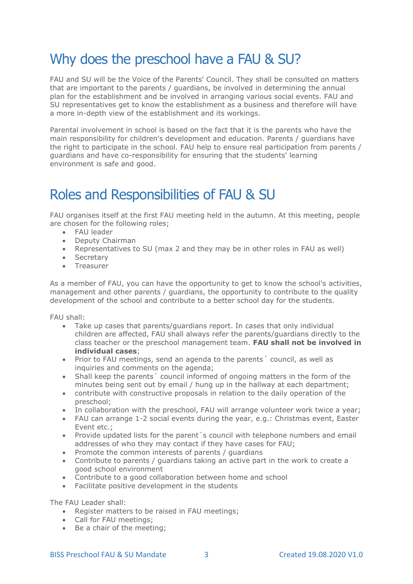### Why does the preschool have a FAU & SU?

FAU and SU will be the Voice of the Parents' Council. They shall be consulted on matters that are important to the parents / guardians, be involved in determining the annual plan for the establishment and be involved in arranging various social events. FAU and SU representatives get to know the establishment as a business and therefore will have a more in-depth view of the establishment and its workings.

Parental involvement in school is based on the fact that it is the parents who have the main responsibility for children's development and education. Parents / guardians have the right to participate in the school. FAU help to ensure real participation from parents / guardians and have co-responsibility for ensuring that the students' learning environment is safe and good.

#### Roles and Responsibilities of FAU & SU

FAU organises itself at the first FAU meeting held in the autumn. At this meeting, people are chosen for the following roles;

- FAU leader
- Deputy Chairman
- Representatives to SU (max 2 and they may be in other roles in FAU as well)
- Secretary
- Treasurer

As a member of FAU, you can have the opportunity to get to know the school's activities, management and other parents / guardians, the opportunity to contribute to the quality development of the school and contribute to a better school day for the students.

FAU shall:

- Take up cases that parents/guardians report. In cases that only individual children are affected, FAU shall always refer the parents/guardians directly to the class teacher or the preschool management team. **FAU shall not be involved in individual cases**;
- Prior to FAU meetings, send an agenda to the parents' council, as well as inquiries and comments on the agenda;
- Shall keep the parents´ council informed of ongoing matters in the form of the minutes being sent out by email / hung up in the hallway at each department;
- contribute with constructive proposals in relation to the daily operation of the preschool;
- In collaboration with the preschool, FAU will arrange volunteer work twice a year;
- FAU can arrange 1-2 social events during the year, e.g.: Christmas event, Easter Event etc.;
- Provide updated lists for the parent´s council with telephone numbers and email addresses of who they may contact if they have cases for FAU;
- Promote the common interests of parents / guardians
- Contribute to parents / guardians taking an active part in the work to create a good school environment
- Contribute to a good collaboration between home and school
- Facilitate positive development in the students

The FAU Leader shall:

- Register matters to be raised in FAU meetings;
- Call for FAU meetings;
- Be a chair of the meeting;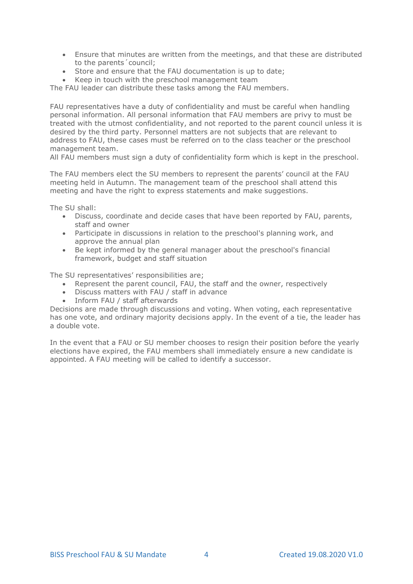- Ensure that minutes are written from the meetings, and that these are distributed to the parents´council;
- Store and ensure that the FAU documentation is up to date;
- Keep in touch with the preschool management team

The FAU leader can distribute these tasks among the FAU members.

FAU representatives have a duty of confidentiality and must be careful when handling personal information. All personal information that FAU members are privy to must be treated with the utmost confidentiality, and not reported to the parent council unless it is desired by the third party. Personnel matters are not subjects that are relevant to address to FAU, these cases must be referred on to the class teacher or the preschool management team.

All FAU members must sign a duty of confidentiality form which is kept in the preschool.

The FAU members elect the SU members to represent the parents' council at the FAU meeting held in Autumn. The management team of the preschool shall attend this meeting and have the right to express statements and make suggestions.

The SU shall:

- Discuss, coordinate and decide cases that have been reported by FAU, parents, staff and owner
- Participate in discussions in relation to the preschool's planning work, and approve the annual plan
- Be kept informed by the general manager about the preschool's financial framework, budget and staff situation

The SU representatives' responsibilities are;

- Represent the parent council, FAU, the staff and the owner, respectively
- Discuss matters with FAU / staff in advance
- Inform FAU / staff afterwards

Decisions are made through discussions and voting. When voting, each representative has one vote, and ordinary majority decisions apply. In the event of a tie, the leader has a double vote.

In the event that a FAU or SU member chooses to resign their position before the yearly elections have expired, the FAU members shall immediately ensure a new candidate is appointed. A FAU meeting will be called to identify a successor.